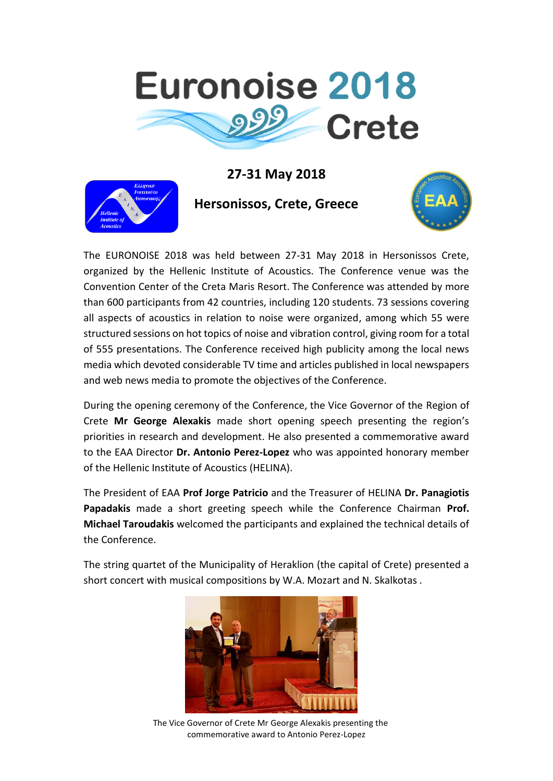

## **27-31 May 2018**



**Hersonissos, Crete, Greece**



The EURONOISE 2018 was held between 27-31 May 2018 in Hersonissos Crete, organized by the Hellenic Institute of Acoustics. The Conference venue was the Convention Center of the Creta Maris Resort. The Conference was attended by more than 600 participants from 42 countries, including 120 students. 73 sessions covering all aspects of acoustics in relation to noise were organized, among which 55 were structured sessions on hot topics of noise and vibration control, giving room for a total of 555 presentations. The Conference received high publicity among the local news media which devoted considerable TV time and articles published in local newspapers and web news media to promote the objectives of the Conference.

During the opening ceremony of the Conference, the Vice Governor of the Region of Crete **Mr George Alexakis** made short opening speech presenting the region's priorities in research and development. He also presented a commemorative award to the EAA Director **Dr. Antonio Perez-Lopez** who was appointed honorary member of the Hellenic Institute of Acoustics (HELINA).

The President of EAA **Prof Jorge Patricio** and the Treasurer of HELINA **Dr. Panagiotis Papadakis** made a short greeting speech while the Conference Chairman **Prof. Michael Taroudakis** welcomed the participants and explained the technical details of the Conference.

The string quartet of the Municipality of Heraklion (the capital of Crete) presented a short concert with musical compositions by W.A. Mozart and N. Skalkotas .



 The Vice Governor of Crete Mr George Alexakis presenting the commemorative award to Antonio Perez-Lopez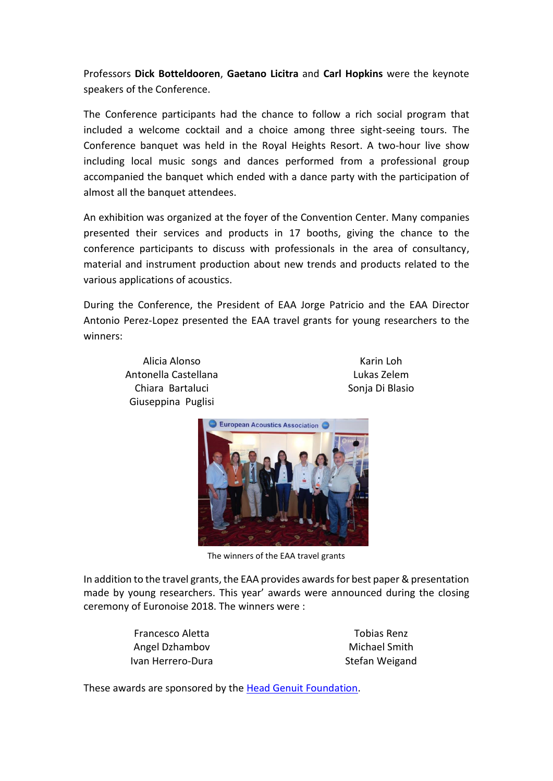Professors **Dick Botteldooren**, **Gaetano Licitra** and **Carl Hopkins** were the keynote speakers of the Conference.

The Conference participants had the chance to follow a rich social program that included a welcome cocktail and a choice among three sight-seeing tours. The Conference banquet was held in the Royal Heights Resort. A two-hour live show including local music songs and dances performed from a professional group accompanied the banquet which ended with a dance party with the participation of almost all the banquet attendees.

An exhibition was organized at the foyer of the Convention Center. Many companies presented their services and products in 17 booths, giving the chance to the conference participants to discuss with professionals in the area of consultancy, material and instrument production about new trends and products related to the various applications of acoustics.

During the Conference, the President of EAA Jorge Patricio and the EAA Director Antonio Perez-Lopez presented the EAA travel grants for young researchers to the winners:

> Alicia Alonso Antonella Castellana Chiara Bartaluci Giuseppina Puglisi

Karin Loh Lukas Zelem Sonja Di Blasio



The winners of the EAA travel grants

In addition to the travel grants, the EAA provides awards for best paper & presentation made by young researchers. This year' awards were announced during the closing ceremony of Euronoise 2018. The winners were :

> Francesco Aletta Angel Dzhambov Ivan Herrero-Dura

Tobias Renz Michael Smith Stefan Weigand

These awards are sponsored by the [Head Genuit Foundation.](http://www.head-genuit-stiftung.de/index_eng.htm)